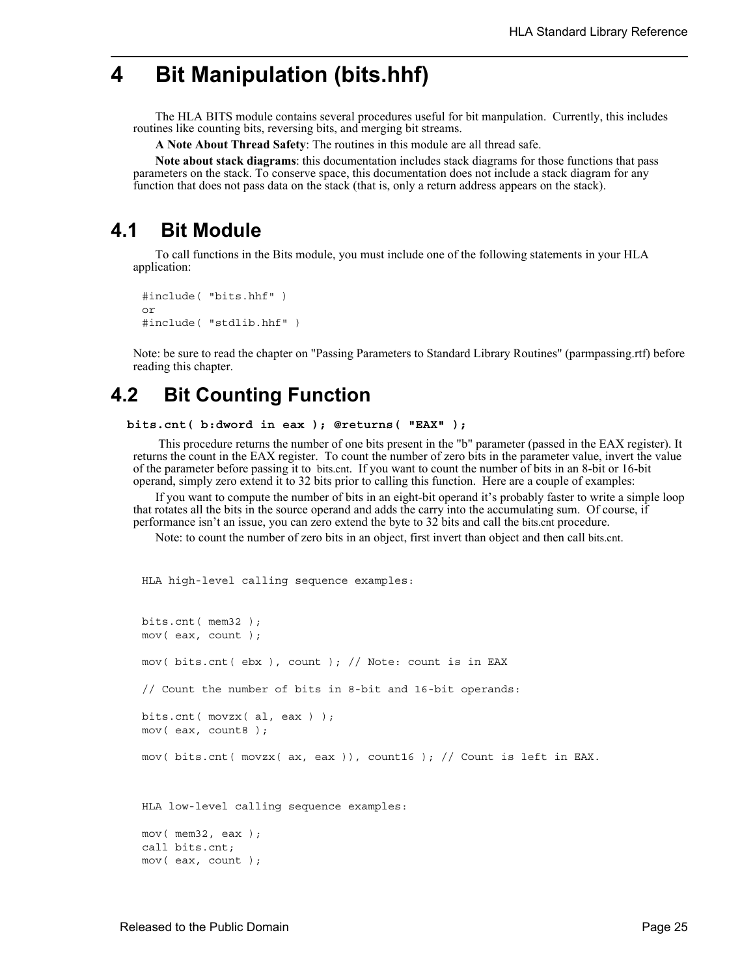# **4 Bit Manipulation (bits.hhf)**

The HLA BITS module contains several procedures useful for bit manpulation. Currently, this includes routines like counting bits, reversing bits, and merging bit streams.

**A Note About Thread Safety**: The routines in this module are all thread safe.

**Note about stack diagrams**: this documentation includes stack diagrams for those functions that pass parameters on the stack. To conserve space, this documentation does not include a stack diagram for any function that does not pass data on the stack (that is, only a return address appears on the stack).

## **4.1 Bit Module**

To call functions in the Bits module, you must include one of the following statements in your HLA application:

```
#include( "bits.hhf" )
or
#include( "stdlib.hhf" )
```
Note: be sure to read the chapter on "Passing Parameters to Standard Library Routines" (parmpassing.rtf) before reading this chapter.

## **4.2 Bit Counting Function**

```
 bits.cnt( b:dword in eax ); @returns( "EAX" );
```
 This procedure returns the number of one bits present in the "b" parameter (passed in the EAX register). It returns the count in the EAX register. To count the number of zero bits in the parameter value, invert the value of the parameter before passing it to bits.cnt. If you want to count the number of bits in an 8-bit or 16-bit operand, simply zero extend it to 32 bits prior to calling this function. Here are a couple of examples:

If you want to compute the number of bits in an eight-bit operand it's probably faster to write a simple loop that rotates all the bits in the source operand and adds the carry into the accumulating sum. Of course, if performance isn't an issue, you can zero extend the byte to 32 bits and call the bits.cnt procedure.

Note: to count the number of zero bits in an object, first invert than object and then call bits.cnt.

```
HLA high-level calling sequence examples:
```

```
bits.cnt( mem32 );
mov( eax, count );
mov( bits.cnt( ebx ), count ); // Note: count is in EAX
// Count the number of bits in 8-bit and 16-bit operands:
bits.cnt( movzx( al, eax ) );
mov( eax, count8 );
mov( bits.cnt( movzx( ax, eax )), count16 ); // Count is left in EAX.
HLA low-level calling sequence examples:
mov( mem32, eax );
call bits.cnt;
mov( eax, count );
```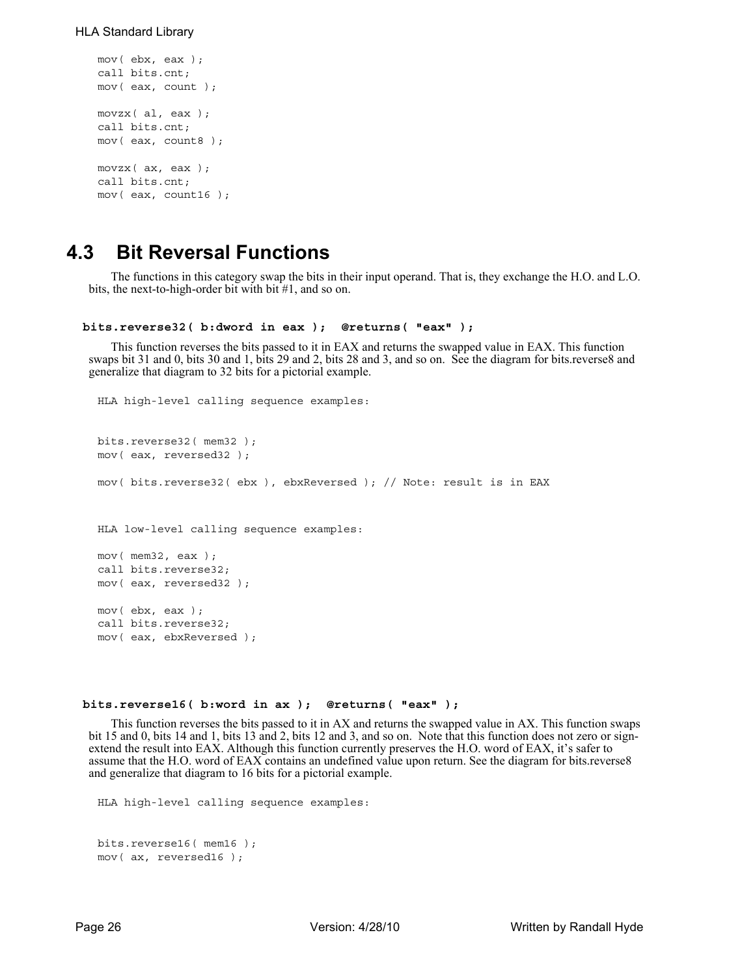```
mov( ebx, eax );
call bits.cnt;
mov( eax, count );
movzx( al, eax );
call bits.cnt;
mov( eax, count8 );
movzx( ax, eax );
call bits.cnt;
mov( eax, count16 );
```
## **4.3 Bit Reversal Functions**

The functions in this category swap the bits in their input operand. That is, they exchange the H.O. and L.O. bits, the next-to-high-order bit with bit #1, and so on.

```
 bits.reverse32( b:dword in eax ); @returns( "eax" );
```
This function reverses the bits passed to it in EAX and returns the swapped value in EAX. This function swaps bit 31 and 0, bits 30 and 1, bits 29 and 2, bits 28 and 3, and so on. See the diagram for bits.reverse8 and generalize that diagram to 32 bits for a pictorial example.

```
HLA high-level calling sequence examples:
bits.reverse32(mem32);
mov( eax, reversed32 );
mov( bits.reverse32( ebx ), ebxReversed ); // Note: result is in EAX
HLA low-level calling sequence examples:
mov( mem32, eax );
call bits.reverse32;
mov( eax, reversed32 );
mov( ebx, eax );
call bits.reverse32;
mov( eax, ebxReversed );
```
#### **bits.reverse16( b:word in ax ); @returns( "eax" );**

This function reverses the bits passed to it in AX and returns the swapped value in AX. This function swaps bit 15 and 0, bits 14 and 1, bits 13 and 2, bits 12 and 3, and so on. Note that this function does not zero or signextend the result into EAX. Although this function currently preserves the H.O. word of EAX, it's safer to assume that the H.O. word of EAX contains an undefined value upon return. See the diagram for bits.reverse8 and generalize that diagram to 16 bits for a pictorial example.

```
HLA high-level calling sequence examples:
```

```
bits.reverse16( mem16 );
mov( ax, reversed16 );
```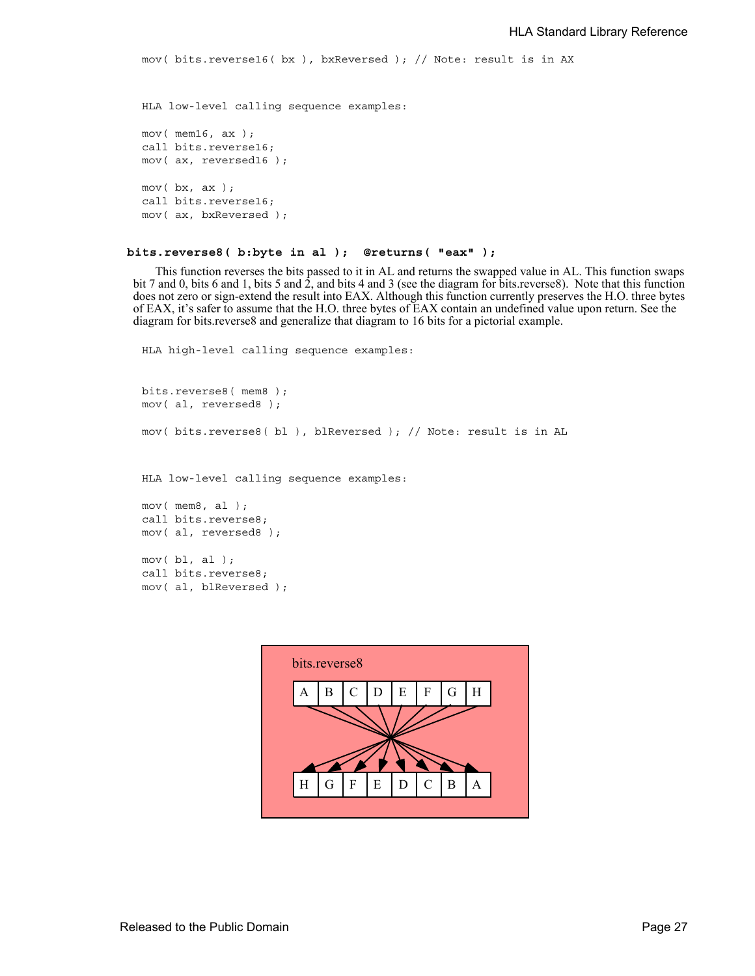```
mov( bits.reverse16( bx ), bxReversed ); // Note: result is in AX
```

```
HLA low-level calling sequence examples:
mov( mem16, ax );
call bits.reverse16;
mov( ax, reversed16 );
mov( bx, ax );
call bits.reverse16;
mov( ax, bxReversed );
```
#### **bits.reverse8( b:byte in al ); @returns( "eax" );**

This function reverses the bits passed to it in AL and returns the swapped value in AL. This function swaps bit 7 and 0, bits 6 and 1, bits 5 and 2, and bits 4 and 3 (see the diagram for bits.reverse8). Note that this function does not zero or sign-extend the result into EAX. Although this function currently preserves the H.O. three bytes of EAX, it's safer to assume that the H.O. three bytes of EAX contain an undefined value upon return. See the diagram for bits.reverse8 and generalize that diagram to 16 bits for a pictorial example.

```
HLA high-level calling sequence examples:
```

```
bits.reverse8( mem8 );
mov( al, reversed8 );
mov( bits.reverse8( bl ), blReversed ); // Note: result is in AL
HLA low-level calling sequence examples:
mov( mem8, al );
call bits.reverse8;
mov( al, reversed8 );
mov( bl, al);call bits.reverse8;
mov( al, blReversed );
```
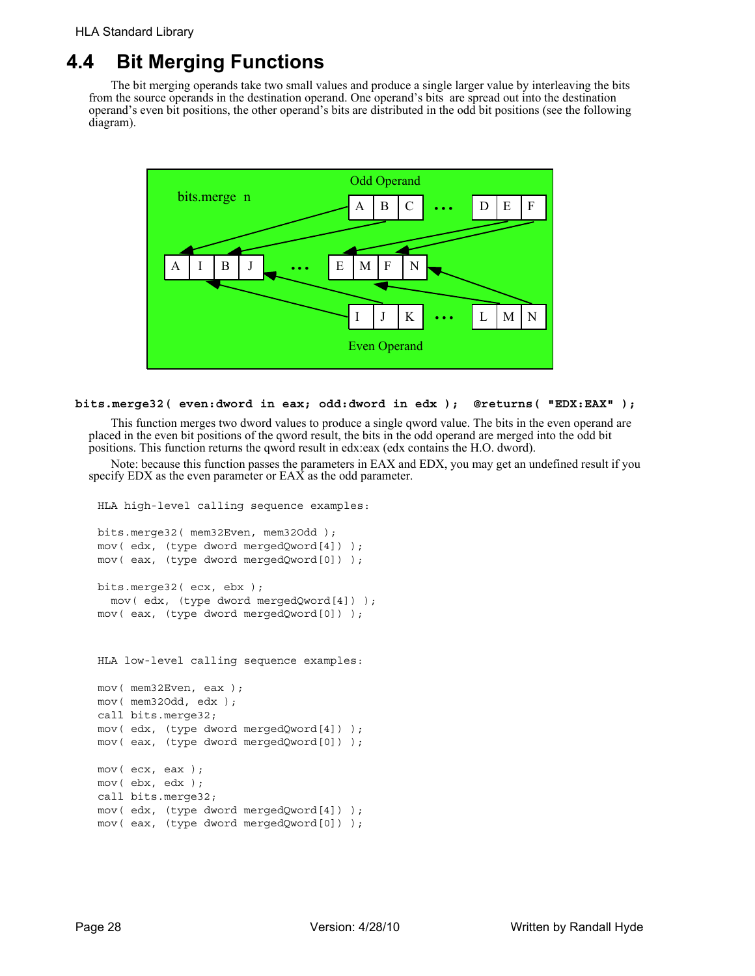# **4.4 Bit Merging Functions**

The bit merging operands take two small values and produce a single larger value by interleaving the bits from the source operands in the destination operand. One operand's bits are spread out into the destination operand's even bit positions, the other operand's bits are distributed in the odd bit positions (see the following diagram).



## **bits.merge32( even:dword in eax; odd:dword in edx ); @returns( "EDX:EAX" );**

This function merges two dword values to produce a single qword value. The bits in the even operand are placed in the even bit positions of the qword result, the bits in the odd operand are merged into the odd bit positions. This function returns the qword result in edx:eax (edx contains the H.O. dword).

Note: because this function passes the parameters in EAX and EDX, you may get an undefined result if you specify EDX as the even parameter or EAX as the odd parameter.

```
HLA high-level calling sequence examples:
```

```
bits.merge32( mem32Even, mem32Odd );
mov( edx, (type dword mergedQword[4]) );
mov( eax, (type dword mergedQword[0]) );
bits.merge32( ecx, ebx );
 mov( edx, (type dword mergedQword[4]) );
mov( eax, (type dword mergedQword[0]) );
HLA low-level calling sequence examples:
mov( mem32Even, eax );
```

```
mov( mem32Odd, edx );
call bits.merge32;
mov( edx, (type dword mergedQword[4]) );
mov( eax, (type dword mergedQword[0]) );
mov( ecx, eax );
mov( ebx, edx );
call bits.merge32;
mov( edx, (type dword mergedQword[4]) );
mov( eax, (type dword mergedQword[0]) );
```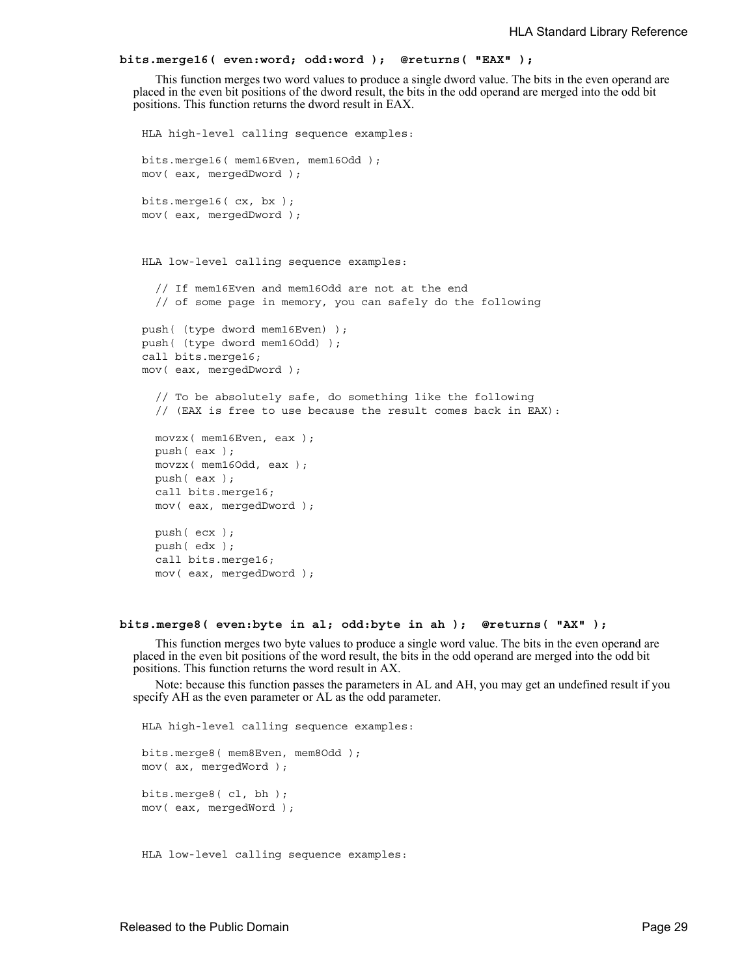#### **bits.merge16( even:word; odd:word ); @returns( "EAX" );**

This function merges two word values to produce a single dword value. The bits in the even operand are placed in the even bit positions of the dword result, the bits in the odd operand are merged into the odd bit positions. This function returns the dword result in EAX.

```
HLA high-level calling sequence examples:
bits.merge16( mem16Even, mem16Odd );
mov( eax, mergedDword );
bits.merge16( cx, bx );
mov( eax, mergedDword );
HLA low-level calling sequence examples:
  // If mem16Even and mem16Odd are not at the end
  // of some page in memory, you can safely do the following
push( (type dword mem16Even) );
push( (type dword mem16Odd) );
call bits.merge16;
mov( eax, mergedDword );
  // To be absolutely safe, do something like the following
  // (EAX is free to use because the result comes back in EAX):
  movzx( mem16Even, eax );
  push( eax );
  movzx( mem16Odd, eax );
  push( eax );
  call bits.merge16;
  mov( eax, mergedDword );
  push( ecx );
  push( edx );
  call bits.merge16;
  mov( eax, mergedDword );
```
#### **bits.merge8( even:byte in al; odd:byte in ah ); @returns( "AX" );**

This function merges two byte values to produce a single word value. The bits in the even operand are placed in the even bit positions of the word result, the bits in the odd operand are merged into the odd bit positions. This function returns the word result in AX.

Note: because this function passes the parameters in AL and AH, you may get an undefined result if you specify AH as the even parameter or AL as the odd parameter.

HLA high-level calling sequence examples: bits.merge8( mem8Even, mem8Odd ); mov( ax, mergedWord ); bits.merge8( cl, bh ); mov( eax, mergedWord ); HLA low-level calling sequence examples: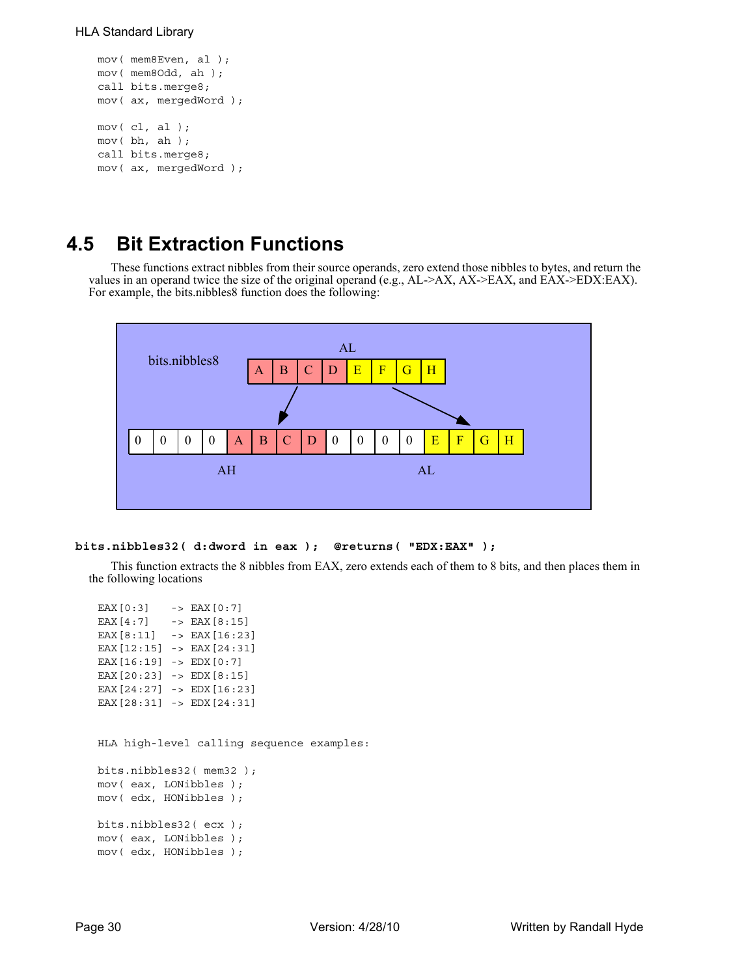### HLA Standard Library

```
mov( mem8Even, al );
mov( mem8Odd, ah );
call bits.merge8;
mov( ax, mergedWord );
mov( c1, al);mov( bh, ah );
call bits.merge8;
mov( ax, mergedWord );
```
# **4.5 Bit Extraction Functions**

These functions extract nibbles from their source operands, zero extend those nibbles to bytes, and return the values in an operand twice the size of the original operand (e.g., AL->AX, AX->EAX, and EAX->EDX:EAX). For example, the bits.nibbles8 function does the following:



```
bits.nibbles32( d:dword in eax ); @returns( "EDX:EAX" );
```
This function extracts the 8 nibbles from EAX, zero extends each of them to 8 bits, and then places them in the following locations

| EAX $[0:3]$ -> EAX $[0:7]$                                                                                                     |                                           |  |
|--------------------------------------------------------------------------------------------------------------------------------|-------------------------------------------|--|
| EAX $[4:7]$ -> EAX $[8:15]$                                                                                                    |                                           |  |
| EAX[8:11] -> EAX[16:23]                                                                                                        |                                           |  |
| EAX $[12:15]$ -> EAX $[24:31]$                                                                                                 |                                           |  |
| EAX $[16:19]$ -> EDX $[0:7]$                                                                                                   |                                           |  |
| EAX $[20:23]$ -> EDX $[8:15]$                                                                                                  |                                           |  |
| EAX $[24:27]$ -> EDX $[16:23]$                                                                                                 |                                           |  |
| EAX $[28:31]$ -> EDX $[24:31]$                                                                                                 |                                           |  |
| bits.nibbles32( $mem32$ );<br>mov(eax, LONibbles);<br>mov(edx, HONibbles);<br>bits.nibbles32( $exc$ );<br>mov(eax, LONibbles); | HLA high-level calling sequence examples: |  |
| mov(edx, HONibbles);                                                                                                           |                                           |  |
|                                                                                                                                |                                           |  |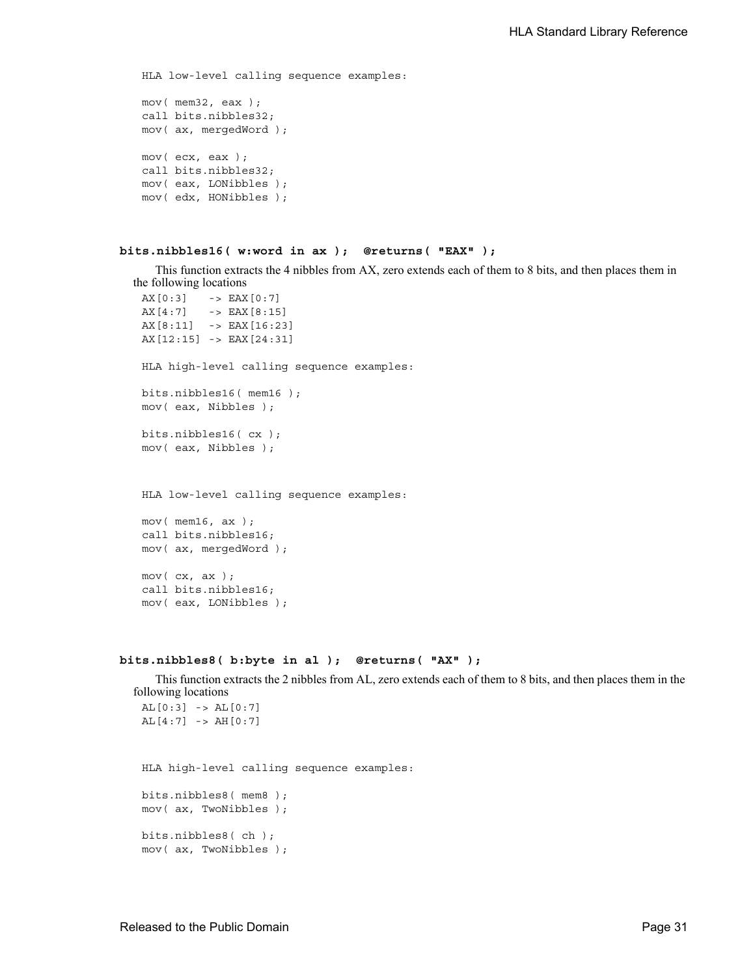HLA low-level calling sequence examples: mov( mem32, eax ); call bits.nibbles32; mov( ax, mergedWord ); mov( ecx, eax ); call bits.nibbles32; mov( eax, LONibbles ); mov( edx, HONibbles );

## **bits.nibbles16( w:word in ax ); @returns( "EAX" );**

This function extracts the 4 nibbles from AX, zero extends each of them to 8 bits, and then places them in the following locations

```
AX[0:3] -> EAX[0:7]
AX[4:7] -> EAX[8:15]
AX[8:11] -> EAX[16:23]
AX[12:15] -> EAX[24:31]
HLA high-level calling sequence examples:
bits.nibbles16( mem16 );
mov( eax, Nibbles );
bits.nibbles16( cx );
mov( eax, Nibbles );
HLA low-level calling sequence examples:
mov( mem16, ax );
call bits.nibbles16;
mov( ax, mergedWord );
```
mov( cx, ax ); call bits.nibbles16; mov( eax, LONibbles );

#### **bits.nibbles8( b:byte in al ); @returns( "AX" );**

This function extracts the 2 nibbles from AL, zero extends each of them to 8 bits, and then places them in the following locations  $AL[0:3]$  ->  $AL[0:7]$ 

```
AL[4:7] -> AH[0:7]
```
HLA high-level calling sequence examples: bits.nibbles8( mem8 );

mov( ax, TwoNibbles ); bits.nibbles8( ch ); mov( ax, TwoNibbles );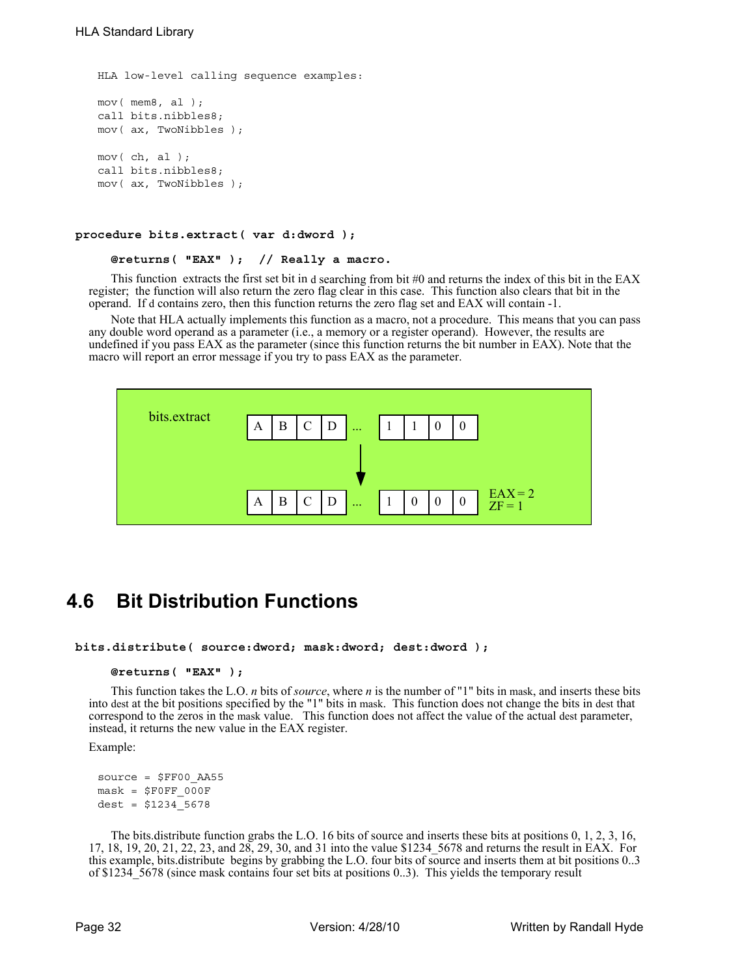```
HLA low-level calling sequence examples:
mov( mem8, al );
call bits.nibbles8;
mov( ax, TwoNibbles );
mov( ch, al );
call bits.nibbles8;
mov( ax, TwoNibbles );
```
#### **procedure bits.extract( var d:dword );**

#### **@returns( "EAX" ); // Really a macro.**

This function extracts the first set bit in d searching from bit  $#0$  and returns the index of this bit in the EAX register; the function will also return the zero flag clear in this case. This function also clears that bit in the operand. If d contains zero, then this function returns the zero flag set and EAX will contain -1.

Note that HLA actually implements this function as a macro, not a procedure. This means that you can pass any double word operand as a parameter (i.e., a memory or a register operand). However, the results are undefined if you pass EAX as the parameter (since this function returns the bit number in EAX). Note that the macro will report an error message if you try to pass EAX as the parameter.



## **4.6 Bit Distribution Functions**

**bits.distribute( source:dword; mask:dword; dest:dword );** 

### **@returns( "EAX" );**

This function takes the L.O. *n* bits of *source*, where *n* is the number of "1" bits in mask, and inserts these bits into dest at the bit positions specified by the "1" bits in mask. This function does not change the bits in dest that correspond to the zeros in the mask value. This function does not affect the value of the actual dest parameter, instead, it returns the new value in the EAX register.

Example:

```
source = $FF00_AA55
mask = $FOFF 000Fdest = $1234 5678
```
The bits.distribute function grabs the L.O. 16 bits of source and inserts these bits at positions 0, 1, 2, 3, 16, 17, 18, 19, 20, 21, 22, 23, and 28, 29, 30, and 31 into the value \$1234\_5678 and returns the result in EAX. For this example, bits.distribute begins by grabbing the L.O. four bits of source and inserts them at bit positions 0..3 of \$1234\_5678 (since mask contains four set bits at positions 0..3). This yields the temporary result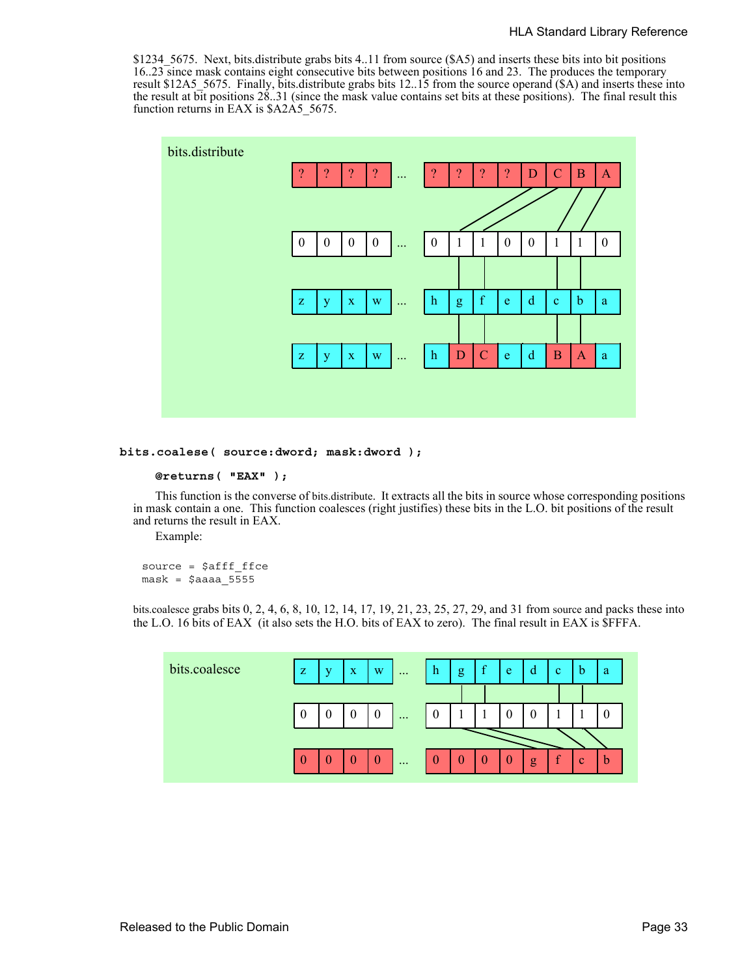\$1234\_5675. Next, bits.distribute grabs bits 4..11 from source (\$A5) and inserts these bits into bit positions 16..23 since mask contains eight consecutive bits between positions 16 and 23. The produces the temporary result \$12A5\_5675. Finally, bits.distribute grabs bits 12..15 from the source operand (\$A) and inserts these into the result at bit positions 28..31 (since the mask value contains set bits at these positions). The final result this function returns in EAX is \$A2A5 5675.



#### **bits.coalese( source:dword; mask:dword );**

#### **@returns( "EAX" );**

This function is the converse of bits.distribute. It extracts all the bits in source whose corresponding positions in mask contain a one. This function coalesces (right justifies) these bits in the L.O. bit positions of the result and returns the result in EAX.

Example:

source =  $$afff$  ffce  $mask = $a$ aaaa 5555

bits.coalesce grabs bits 0, 2, 4, 6, 8, 10, 12, 14, 17, 19, 21, 23, 25, 27, 29, and 31 from source and packs these into the L.O. 16 bits of EAX (it also sets the H.O. bits of EAX to zero). The final result in EAX is \$FFFA.